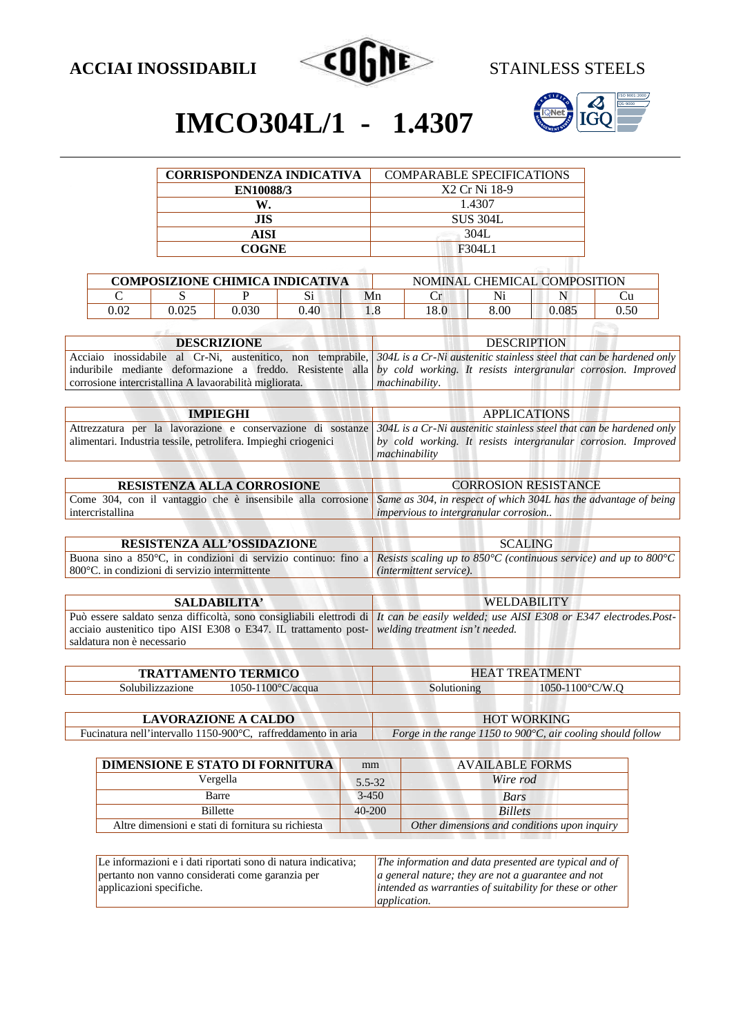



## **IMCO304L/1 - 1.4307**

| <b>CORRISPONDENZA INDICATIVA</b> | <b>COMPARABLE SPECIFICATIONS</b> |  |  |
|----------------------------------|----------------------------------|--|--|
| <b>EN10088/3</b>                 | X2 Cr Ni 18-9                    |  |  |
| W                                | 1.4307                           |  |  |
| <b>JIS</b>                       | <b>SUS 304L</b>                  |  |  |
| <b>AISI</b>                      | 304L                             |  |  |
| <b>COGNE</b>                     | F304L1                           |  |  |
|                                  |                                  |  |  |

| <b>COMPOSIZIONE CHIMICA INDICATIVA</b> |       |       | NOMINAL CHEMICAL COMPOSITION |    |     |      |       |      |
|----------------------------------------|-------|-------|------------------------------|----|-----|------|-------|------|
|                                        |       |       |                              | Mn |     | Ni   |       |      |
| ).02                                   | 0.025 | 0.030 | 40.ر                         |    | 8.0 | 8.OC | 0.085 | 0.50 |

| <b>DESCRIZIONE</b>                                                                                                       | <b>DESCRIPTION</b>                                                                                                               |  |  |  |
|--------------------------------------------------------------------------------------------------------------------------|----------------------------------------------------------------------------------------------------------------------------------|--|--|--|
|                                                                                                                          | Acciaio inossidabile al Cr-Ni, austenitico, non temprabile, 304L is a Cr-Ni austenitic stainless steel that can be hardened only |  |  |  |
| induribile mediante deformazione a freddo. Resistente alla by cold working. It resists intergranular corrosion. Improved |                                                                                                                                  |  |  |  |
| corrosione intercristallina A lavaorabilità migliorata.                                                                  | <i>machinability.</i>                                                                                                            |  |  |  |
|                                                                                                                          |                                                                                                                                  |  |  |  |

| <b>IMPIEGHI</b>                                                 | <b>APPLICATIONS</b>                                                                                                                                                                                                  |  |  |  |
|-----------------------------------------------------------------|----------------------------------------------------------------------------------------------------------------------------------------------------------------------------------------------------------------------|--|--|--|
| alimentari. Industria tessile, petrolifera. Impieghi criogenici | Attrezzatura per la lavorazione e conservazione di sostanze $304L$ is a Cr-Ni austenitic stainless steel that can be hardened only<br>by cold working. It resists intergranular corrosion. Improved<br>machinability |  |  |  |
|                                                                 |                                                                                                                                                                                                                      |  |  |  |

| <b>RESISTENZA ALLA CORROSIONE</b>                                                                                                    | <b>CORROSION RESISTANCE</b>           |
|--------------------------------------------------------------------------------------------------------------------------------------|---------------------------------------|
| Come 304, con il vantaggio che è insensibile alla corrosione <i>Same as 304, in respect of which 304L has the advantage of being</i> |                                       |
| intercristallina                                                                                                                     | impervious to intergranular corrosion |

| <b>RESISTENZA ALL'OSSIDAZIONE</b>                                                                                               | <b>SCALING</b>                   |  |
|---------------------------------------------------------------------------------------------------------------------------------|----------------------------------|--|
| Buona sino a 850°C, in condizioni di servizio continuo: fino a Resists scaling up to 850°C (continuous service) and up to 800°C |                                  |  |
| $\vert$ 800 $\degree$ C, in condizioni di servizio intermittente                                                                | ( <i>intermittent service</i> ). |  |

| <b>SALDABILITA'</b>                                                                                                           | <b>WELDABILITY</b>                                                                                                                          |
|-------------------------------------------------------------------------------------------------------------------------------|---------------------------------------------------------------------------------------------------------------------------------------------|
| acciaio austenitico tipo AISI E308 o E347. IL trattamento post- welding treatment isn't needed.<br>saldatura non è necessario | Può essere saldato senza difficoltà, sono consigliabili elettrodi di <i>It can be easily welded; use AISI E308 or E347 electrodes.Post-</i> |
|                                                                                                                               |                                                                                                                                             |

|                  | <b>TRATTAMENTO TERMICO</b>    |             | <b>HEAT TREATMENT</b>       |
|------------------|-------------------------------|-------------|-----------------------------|
| Solubilizzazione | $1050 - 1100^{\circ}$ C/acqua | Solutioning | $1050 - 1100^{\circ}$ C/W.O |
|                  |                               |             |                             |

| <b>LAVORAZIONE A CALDO</b>                                     | <b>HOT WORKING</b>                                                    |
|----------------------------------------------------------------|-----------------------------------------------------------------------|
| Fucinatura nell'intervallo 1150-900 °C, raffreddamento in aria | Forge in the range 1150 to 900 $\degree$ C, air cooling should follow |

| DIMENSIONE E STATO DI FORNITURA                    | mm         | <b>AVAILABLE FORMS</b>                       |
|----------------------------------------------------|------------|----------------------------------------------|
| Vergella                                           | $5.5 - 32$ | Wire rod                                     |
| Barre                                              | $3 - 450$  | Bars                                         |
| <b>Billette</b>                                    | $40 - 200$ | <b>Billets</b>                               |
| Altre dimensioni e stati di fornitura su richiesta |            | Other dimensions and conditions upon inquiry |

| Le informazioni e i dati riportati sono di natura indicativa; | $\vert$ The information and data presented are typical and of |
|---------------------------------------------------------------|---------------------------------------------------------------|
| pertanto non vanno considerati come garanzia per              | $ a $ general nature; they are not a guarantee and not        |
| applicazioni specifiche.                                      | intended as warranties of suitability for these or other      |
|                                                               | <i>application.</i>                                           |